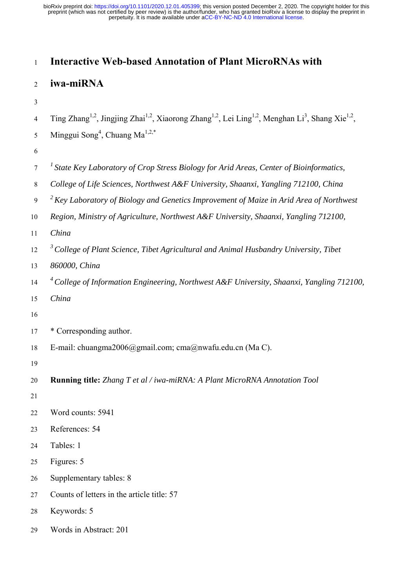# <sup>1</sup>**Interactive Web-based Annotation of Plant MicroRNAs with**

## <sup>2</sup>**iwa-miRNA**

3

4 Ting Zhang<sup>1,2</sup>, Jingjing Zhai<sup>1,2</sup>, Xiaorong Zhang<sup>1,2</sup>, Lei Ling<sup>1,2</sup>, Menghan Li<sup>3</sup>, Shang Xie<sup>1,2</sup>,

- 5 Minggui Song<sup>4</sup>, Chuang Ma<sup>1,2,\*</sup>
- 6
- *<sup>1</sup>*7 *State Key Laboratory of Crop Stress Biology for Arid Areas, Center of Bioinformatics,*
- 8 *College of Life Sciences, Northwest A&F University, Shaanxi, Yangling 712100, China*
- *<sup>2</sup>*9 *Key Laboratory of Biology and Genetics Improvement of Maize in Arid Area of Northwest*
- 10 *Region, Ministry of Agriculture, Northwest A&F University, Shaanxi, Yangling 712100,*
- 11 *China*
- *<sup>3</sup>*12 *College of Plant Science, Tibet Agricultural and Animal Husbandry University, Tibet*
- 13 *860000, China*
- *<sup>4</sup>*14 *College of Information Engineering, Northwest A&F University, Shaanxi, Yangling 712100,*
- 15 *China*
- 16
- 17 \* Corresponding author.
- 18 E-mail: chuangma2006@gmail.com; cma@nwafu.edu.cn (Ma C).
- 19
- 20 **Running title:** *Zhang T et al / iwa-miRNA: A Plant MicroRNA Annotation Tool*
- 21
- 22 Word counts: 5941
- 23 References: 54
- 24 Tables: 1
- 25 Figures: 5
- 26 Supplementary tables: 8
- 27 Counts of letters in the article title: 57
- 28 Keywords: 5
- 29 Words in Abstract: 201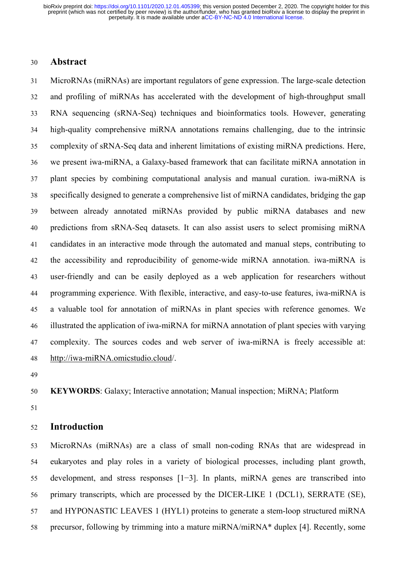## 30 **Abstract**

31 MicroRNAs (miRNAs) are important regulators of gene expression. The large-scale detection 32 and profiling of miRNAs has accelerated with the development of high-throughput small 33 RNA sequencing (sRNA-Seq) techniques and bioinformatics tools. However, generating 34 high-quality comprehensive miRNA annotations remains challenging, due to the intrinsic 35 complexity of sRNA-Seq data and inherent limitations of existing miRNA predictions. Here, 36 we present iwa-miRNA, a Galaxy-based framework that can facilitate miRNA annotation in 37 plant species by combining computational analysis and manual curation. iwa-miRNA is 38 specifically designed to generate a comprehensive list of miRNA candidates, bridging the gap 39 between already annotated miRNAs provided by public miRNA databases and new 40 predictions from sRNA-Seq datasets. It can also assist users to select promising miRNA 41 candidates in an interactive mode through the automated and manual steps, contributing to 42 the accessibility and reproducibility of genome-wide miRNA annotation. iwa-miRNA is 43 user-friendly and can be easily deployed as a web application for researchers without 44 programming experience. With flexible, interactive, and easy-to-use features, iwa-miRNA is 45 a valuable tool for annotation of miRNAs in plant species with reference genomes. We 46 illustrated the application of iwa-miRNA for miRNA annotation of plant species with varying 47 complexity. The sources codes and web server of iwa-miRNA is freely accessible at: 48 http://iwa-miRNA.omicstudio.cloud/.

49

50 **KEYWORDS**: Galaxy; Interactive annotation; Manual inspection; MiRNA; Platform

51

## 52 **Introduction**

53 MicroRNAs (miRNAs) are a class of small non-coding RNAs that are widespread in 54 eukaryotes and play roles in a variety of biological processes, including plant growth, 55 development, and stress responses [1−3]. In plants, miRNA genes are transcribed into 56 primary transcripts, which are processed by the DICER-LIKE 1 (DCL1), SERRATE (SE), 57 and HYPONASTIC LEAVES 1 (HYL1) proteins to generate a stem-loop structured miRNA 58 precursor, following by trimming into a mature miRNA/miRNA\* duplex [4]. Recently, some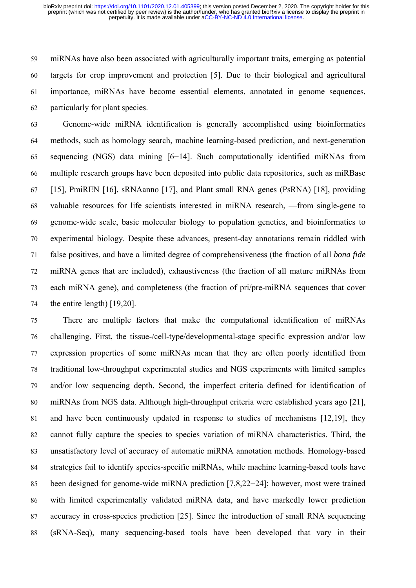59 miRNAs have also been associated with agriculturally important traits, emerging as potential 60 targets for crop improvement and protection [5]. Due to their biological and agricultural 61 importance, miRNAs have become essential elements, annotated in genome sequences, 62 particularly for plant species.

63 Genome-wide miRNA identification is generally accomplished using bioinformatics 64 methods, such as homology search, machine learning-based prediction, and next-generation 65 sequencing (NGS) data mining [6−14]. Such computationally identified miRNAs from 66 multiple research groups have been deposited into public data repositories, such as miRBase 67 [15], PmiREN [16], sRNAanno [17], and Plant small RNA genes (PsRNA) [18], providing 68 valuable resources for life scientists interested in miRNA research, —from single-gene to 69 genome-wide scale, basic molecular biology to population genetics, and bioinformatics to 70 experimental biology. Despite these advances, present-day annotations remain riddled with 71 false positives, and have a limited degree of comprehensiveness (the fraction of all *bona fide* 72 miRNA genes that are included), exhaustiveness (the fraction of all mature miRNAs from 73 each miRNA gene), and completeness (the fraction of pri/pre-miRNA sequences that cover 74 the entire length) [19,20].

75 There are multiple factors that make the computational identification of miRNAs 76 challenging. First, the tissue-/cell-type/developmental-stage specific expression and/or low 77 expression properties of some miRNAs mean that they are often poorly identified from 78 traditional low-throughput experimental studies and NGS experiments with limited samples 79 and/or low sequencing depth. Second, the imperfect criteria defined for identification of 80 miRNAs from NGS data. Although high-throughput criteria were established years ago [21], 81 and have been continuously updated in response to studies of mechanisms [12,19], they 82 cannot fully capture the species to species variation of miRNA characteristics. Third, the 83 unsatisfactory level of accuracy of automatic miRNA annotation methods. Homology-based 84 strategies fail to identify species-specific miRNAs, while machine learning-based tools have 85 been designed for genome-wide miRNA prediction [7,8,22−24]; however, most were trained 86 with limited experimentally validated miRNA data, and have markedly lower prediction 87 accuracy in cross-species prediction [25]. Since the introduction of small RNA sequencing 88 (sRNA-Seq), many sequencing-based tools have been developed that vary in their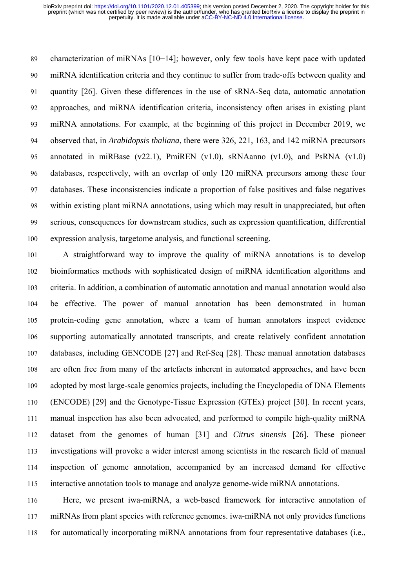89 characterization of miRNAs [10−14]; however, only few tools have kept pace with updated 90 miRNA identification criteria and they continue to suffer from trade-offs between quality and 91 quantity [26]. Given these differences in the use of sRNA-Seq data, automatic annotation 92 approaches, and miRNA identification criteria, inconsistency often arises in existing plant 93 miRNA annotations. For example, at the beginning of this project in December 2019, we 94 observed that, in *Arabidopsis thaliana*, there were 326, 221, 163, and 142 miRNA precursors 95 annotated in miRBase (v22.1), PmiREN (v1.0), sRNAanno (v1.0), and PsRNA (v1.0) 96 databases, respectively, with an overlap of only 120 miRNA precursors among these four 97 databases. These inconsistencies indicate a proportion of false positives and false negatives 98 within existing plant miRNA annotations, using which may result in unappreciated, but often 99 serious, consequences for downstream studies, such as expression quantification, differential 100 expression analysis, targetome analysis, and functional screening.

101 A straightforward way to improve the quality of miRNA annotations is to develop 102 bioinformatics methods with sophisticated design of miRNA identification algorithms and 103 criteria. In addition, a combination of automatic annotation and manual annotation would also 104 be effective. The power of manual annotation has been demonstrated in human 105 protein-coding gene annotation, where a team of human annotators inspect evidence 106 supporting automatically annotated transcripts, and create relatively confident annotation 107 databases, including GENCODE [27] and Ref-Seq [28]. These manual annotation databases 108 are often free from many of the artefacts inherent in automated approaches, and have been 109 adopted by most large-scale genomics projects, including the Encyclopedia of DNA Elements 110 (ENCODE) [29] and the Genotype-Tissue Expression (GTEx) project [30]. In recent years, 111 manual inspection has also been advocated, and performed to compile high-quality miRNA 112 dataset from the genomes of human [31] and *Citrus sinensis* [26]. These pioneer 113 investigations will provoke a wider interest among scientists in the research field of manual 114 inspection of genome annotation, accompanied by an increased demand for effective 115 interactive annotation tools to manage and analyze genome-wide miRNA annotations.

116 Here, we present iwa-miRNA, a web-based framework for interactive annotation of 117 miRNAs from plant species with reference genomes. iwa-miRNA not only provides functions 118 for automatically incorporating miRNA annotations from four representative databases (i.e.,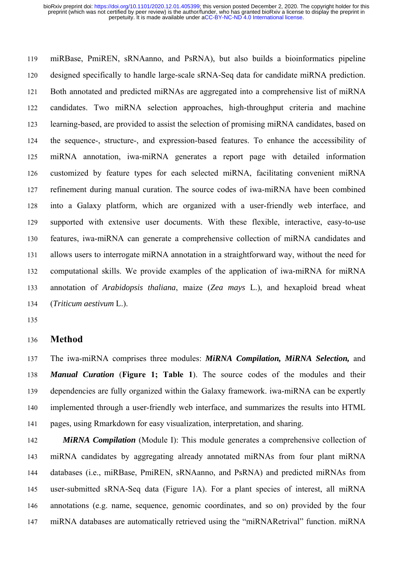119 miRBase, PmiREN, sRNAanno, and PsRNA), but also builds a bioinformatics pipeline 120 designed specifically to handle large-scale sRNA-Seq data for candidate miRNA prediction. 121 Both annotated and predicted miRNAs are aggregated into a comprehensive list of miRNA 122 candidates. Two miRNA selection approaches, high-throughput criteria and machine 123 learning-based, are provided to assist the selection of promising miRNA candidates, based on 124 the sequence-, structure-, and expression-based features. To enhance the accessibility of 125 miRNA annotation, iwa-miRNA generates a report page with detailed information 126 customized by feature types for each selected miRNA, facilitating convenient miRNA 127 refinement during manual curation. The source codes of iwa-miRNA have been combined 128 into a Galaxy platform, which are organized with a user-friendly web interface, and 129 supported with extensive user documents. With these flexible, interactive, easy-to-use 130 features, iwa-miRNA can generate a comprehensive collection of miRNA candidates and 131 allows users to interrogate miRNA annotation in a straightforward way, without the need for 132 computational skills. We provide examples of the application of iwa-miRNA for miRNA 133 annotation of *Arabidopsis thaliana*, maize (*Zea mays* L.), and hexaploid bread wheat 134 (*Triticum aestivum* L.).

135

#### 136 **Method**

137 The iwa-miRNA comprises three modules: *MiRNA Compilation, MiRNA Selection,* and 138 *Manual Curation* (**Figure 1; Table 1**). The source codes of the modules and their 139 dependencies are fully organized within the Galaxy framework. iwa-miRNA can be expertly 140 implemented through a user-friendly web interface, and summarizes the results into HTML 141 pages, using Rmarkdown for easy visualization, interpretation, and sharing.

142 *MiRNA Compilation* (Module I): This module generates a comprehensive collection of 143 miRNA candidates by aggregating already annotated miRNAs from four plant miRNA 144 databases (i.e., miRBase, PmiREN, sRNAanno, and PsRNA) and predicted miRNAs from 145 user-submitted sRNA-Seq data (Figure 1A). For a plant species of interest, all miRNA 146 annotations (e.g. name, sequence, genomic coordinates, and so on) provided by the four 147 miRNA databases are automatically retrieved using the "miRNARetrival" function. miRNA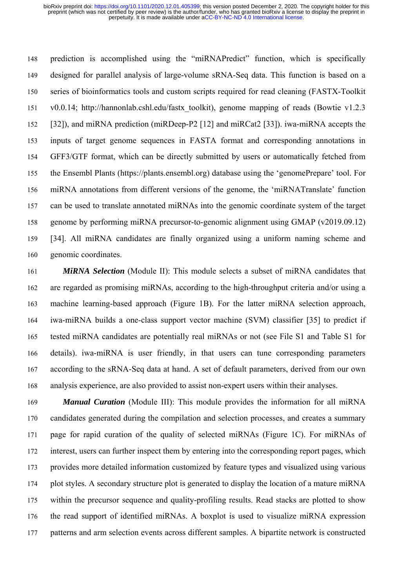148 prediction is accomplished using the "miRNAPredict" function, which is specifically 149 designed for parallel analysis of large-volume sRNA-Seq data. This function is based on a 150 series of bioinformatics tools and custom scripts required for read cleaning (FASTX-Toolkit 151 v0.0.14; http://hannonlab.cshl.edu/fastx\_toolkit), genome mapping of reads (Bowtie v1.2.3 152 [32]), and miRNA prediction (miRDeep-P2 [12] and miRCat2 [33]). iwa-miRNA accepts the 153 inputs of target genome sequences in FASTA format and corresponding annotations in 154 GFF3/GTF format, which can be directly submitted by users or automatically fetched from 155 the Ensembl Plants (https://plants.ensembl.org) database using the 'genomePrepare' tool. For 156 miRNA annotations from different versions of the genome, the 'miRNATranslate' function 157 can be used to translate annotated miRNAs into the genomic coordinate system of the target 158 genome by performing miRNA precursor-to-genomic alignment using GMAP (v2019.09.12) 159 [34]. All miRNA candidates are finally organized using a uniform naming scheme and 160 genomic coordinates.

161 *MiRNA Selection* (Module II): This module selects a subset of miRNA candidates that 162 are regarded as promising miRNAs, according to the high-throughput criteria and/or using a 163 machine learning-based approach (Figure 1B). For the latter miRNA selection approach, 164 iwa-miRNA builds a one-class support vector machine (SVM) classifier [35] to predict if 165 tested miRNA candidates are potentially real miRNAs or not (see File S1 and Table S1 for 166 details). iwa-miRNA is user friendly, in that users can tune corresponding parameters 167 according to the sRNA-Seq data at hand. A set of default parameters, derived from our own 168 analysis experience, are also provided to assist non-expert users within their analyses.

169 *Manual Curation* (Module III): This module provides the information for all miRNA 170 candidates generated during the compilation and selection processes, and creates a summary 171 page for rapid curation of the quality of selected miRNAs (Figure 1C). For miRNAs of 172 interest, users can further inspect them by entering into the corresponding report pages, which 173 provides more detailed information customized by feature types and visualized using various 174 plot styles. A secondary structure plot is generated to display the location of a mature miRNA 175 within the precursor sequence and quality-profiling results. Read stacks are plotted to show 176 the read support of identified miRNAs. A boxplot is used to visualize miRNA expression 177 patterns and arm selection events across different samples. A bipartite network is constructed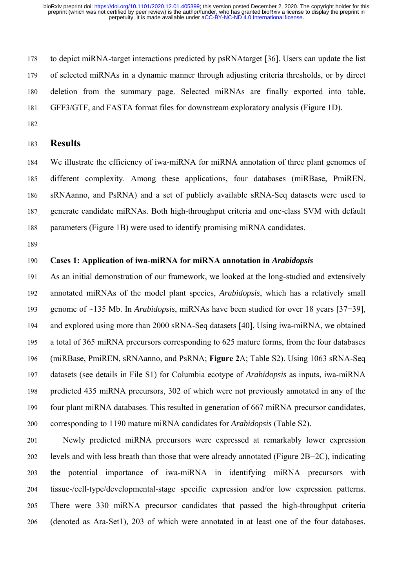178 to depict miRNA-target interactions predicted by psRNAtarget [36]. Users can update the list 179 of selected miRNAs in a dynamic manner through adjusting criteria thresholds, or by direct 180 deletion from the summary page. Selected miRNAs are finally exported into table, 181 GFF3/GTF, and FASTA format files for downstream exploratory analysis (Figure 1D).

182

## 183 **Results**

184 We illustrate the efficiency of iwa-miRNA for miRNA annotation of three plant genomes of 185 different complexity. Among these applications, four databases (miRBase, PmiREN, 186 sRNAanno, and PsRNA) and a set of publicly available sRNA-Seq datasets were used to 187 generate candidate miRNAs. Both high-throughput criteria and one-class SVM with default 188 parameters (Figure 1B) were used to identify promising miRNA candidates.

189

## 190 **Cases 1: Application of iwa-miRNA for miRNA annotation in** *Arabidopsis*

191 As an initial demonstration of our framework, we looked at the long-studied and extensively 192 annotated miRNAs of the model plant species, *Arabidopsis*, which has a relatively small 193 genome of ~135 Mb. In *Arabidopsis*, miRNAs have been studied for over 18 years [37−39], 194 and explored using more than 2000 sRNA-Seq datasets [40]. Using iwa-miRNA, we obtained 195 a total of 365 miRNA precursors corresponding to 625 mature forms, from the four databases 196 (miRBase, PmiREN, sRNAanno, and PsRNA; **Figure 2**A; Table S2). Using 1063 sRNA-Seq 197 datasets (see details in File S1) for Columbia ecotype of *Arabidopsis* as inputs, iwa-miRNA 198 predicted 435 miRNA precursors, 302 of which were not previously annotated in any of the 199 four plant miRNA databases. This resulted in generation of 667 miRNA precursor candidates, 200 corresponding to 1190 mature miRNA candidates for *Arabidopsis* (Table S2).

201 Newly predicted miRNA precursors were expressed at remarkably lower expression 202 levels and with less breath than those that were already annotated (Figure 2B−2C), indicating 203 the potential importance of iwa-miRNA in identifying miRNA precursors with 204 tissue-/cell-type/developmental-stage specific expression and/or low expression patterns. 205 There were 330 miRNA precursor candidates that passed the high-throughput criteria 206 (denoted as Ara-Set1), 203 of which were annotated in at least one of the four databases.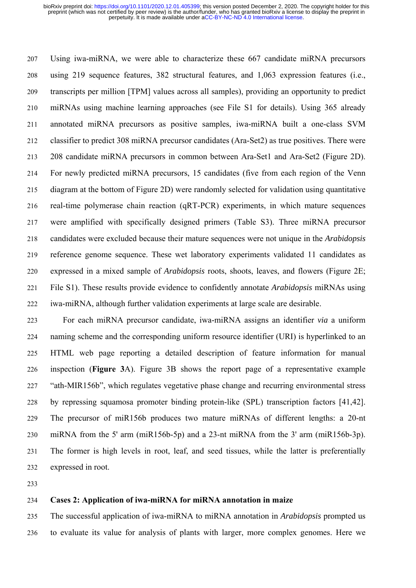207 Using iwa-miRNA, we were able to characterize these 667 candidate miRNA precursors 208 using 219 sequence features, 382 structural features, and 1,063 expression features (i.e., 209 transcripts per million [TPM] values across all samples), providing an opportunity to predict 210 miRNAs using machine learning approaches (see File S1 for details). Using 365 already 211 annotated miRNA precursors as positive samples, iwa-miRNA built a one-class SVM 212 classifier to predict 308 miRNA precursor candidates (Ara-Set2) as true positives. There were 213 208 candidate miRNA precursors in common between Ara-Set1 and Ara-Set2 (Figure 2D). 214 For newly predicted miRNA precursors, 15 candidates (five from each region of the Venn 215 diagram at the bottom of Figure 2D) were randomly selected for validation using quantitative 216 real-time polymerase chain reaction (qRT-PCR) experiments, in which mature sequences 217 were amplified with specifically designed primers (Table S3). Three miRNA precursor 218 candidates were excluded because their mature sequences were not unique in the *Arabidopsis* 219 reference genome sequence. These wet laboratory experiments validated 11 candidates as 220 expressed in a mixed sample of *Arabidopsis* roots, shoots, leaves, and flowers (Figure 2E; 221 File S1). These results provide evidence to confidently annotate *Arabidopsis* miRNAs using 222 iwa-miRNA, although further validation experiments at large scale are desirable.

223 For each miRNA precursor candidate, iwa-miRNA assigns an identifier *via* a uniform 224 naming scheme and the corresponding uniform resource identifier (URI) is hyperlinked to an 225 HTML web page reporting a detailed description of feature information for manual 226 inspection (**Figure 3**A). Figure 3B shows the report page of a representative example 227 "ath-MIR156b", which regulates vegetative phase change and recurring environmental stress 228 by repressing squamosa promoter binding protein-like (SPL) transcription factors [41,42]. 229 The precursor of miR156b produces two mature miRNAs of different lengths: a 20-nt 230 miRNA from the 5' arm (miR156b-5p) and a 23-nt miRNA from the 3' arm (miR156b-3p). 231 The former is high levels in root, leaf, and seed tissues, while the latter is preferentially 232 expressed in root.

233

## 234 **Cases 2: Application of iwa-miRNA for miRNA annotation in maize**

235 The successful application of iwa-miRNA to miRNA annotation in *Arabidopsis* prompted us 236 to evaluate its value for analysis of plants with larger, more complex genomes. Here we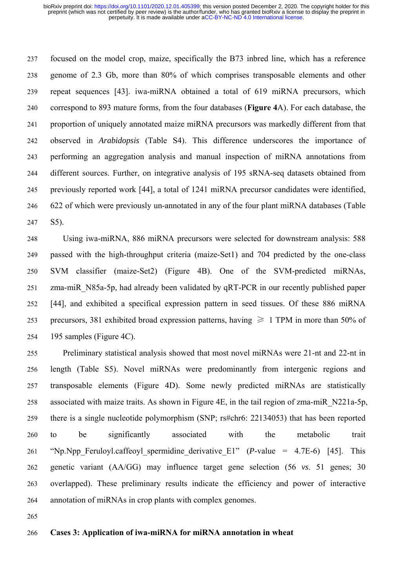237 focused on the model crop, maize, specifically the B73 inbred line, which has a reference 238 genome of 2.3 Gb, more than 80% of which comprises transposable elements and other 239 repeat sequences [43]. iwa-miRNA obtained a total of 619 miRNA precursors, which 240 correspond to 893 mature forms, from the four databases (**Figure 4**A). For each database, the 241 proportion of uniquely annotated maize miRNA precursors was markedly different from that 242 observed in *Arabidopsis* (Table S4). This difference underscores the importance of 243 performing an aggregation analysis and manual inspection of miRNA annotations from 244 different sources. Further, on integrative analysis of 195 sRNA-seq datasets obtained from 245 previously reported work [44], a total of 1241 miRNA precursor candidates were identified, 246 622 of which were previously un-annotated in any of the four plant miRNA databases (Table 247 S5).

248 Using iwa-miRNA, 886 miRNA precursors were selected for downstream analysis: 588 249 passed with the high-throughput criteria (maize-Set1) and 704 predicted by the one-class 250 SVM classifier (maize-Set2) (Figure 4B). One of the SVM-predicted miRNAs, 251 zma-miR\_N85a-5p, had already been validated by qRT-PCR in our recently published paper 252 [44], and exhibited a specifical expression pattern in seed tissues. Of these 886 miRNA 253 precursors, 381 exhibited broad expression patterns, having  $\geq 1$  TPM in more than 50% of 254 195 samples (Figure 4C).

255 Preliminary statistical analysis showed that most novel miRNAs were 21-nt and 22-nt in 256 length (Table S5). Novel miRNAs were predominantly from intergenic regions and 257 transposable elements (Figure 4D). Some newly predicted miRNAs are statistically 258 associated with maize traits. As shown in Figure 4E, in the tail region of zma-miR\_N221a-5p, 259 there is a single nucleotide polymorphism (SNP; rs#chr6: 22134053) that has been reported 260 to be significantly associated with the metabolic trait 261 "Np.Npp Feruloyl.caffeoyl spermidine derivative  $E1$ " (*P*-value = 4.7E-6) [45]. This 262 genetic variant (AA/GG) may influence target gene selection (56 *vs*. 51 genes; 30 263 overlapped). These preliminary results indicate the efficiency and power of interactive 264 annotation of miRNAs in crop plants with complex genomes.

265

## 266 **Cases 3: Application of iwa-miRNA for miRNA annotation in wheat**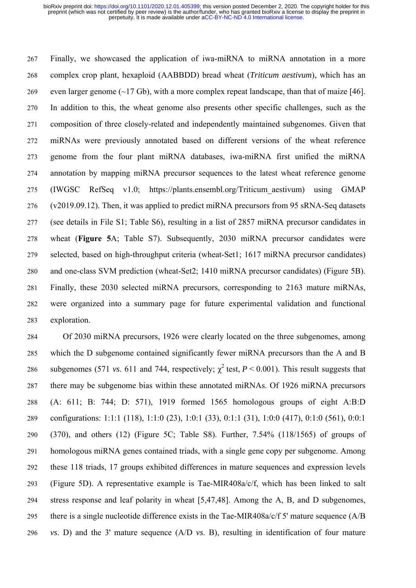267 Finally, we showcased the application of iwa-miRNA to miRNA annotation in a more 268 complex crop plant, hexaploid (AABBDD) bread wheat (*Triticum aestivum*), which has an 269 even larger genome  $(\sim 17 \text{ Gb})$ , with a more complex repeat landscape, than that of maize [46]. 270 In addition to this, the wheat genome also presents other specific challenges, such as the 271 composition of three closely-related and independently maintained subgenomes. Given that 272 miRNAs were previously annotated based on different versions of the wheat reference 273 genome from the four plant miRNA databases, iwa-miRNA first unified the miRNA 274 annotation by mapping miRNA precursor sequences to the latest wheat reference genome 275 (IWGSC RefSeq v1.0; https://plants.ensembl.org/Triticum\_aestivum) using GMAP 276 (v2019.09.12). Then, it was applied to predict miRNA precursors from 95 sRNA-Seq datasets 277 (see details in File S1; Table S6), resulting in a list of 2857 miRNA precursor candidates in 278 wheat (**Figure 5**A; Table S7). Subsequently, 2030 miRNA precursor candidates were 279 selected, based on high-throughput criteria (wheat-Set1; 1617 miRNA precursor candidates) 280 and one-class SVM prediction (wheat-Set2; 1410 miRNA precursor candidates) (Figure 5B). 281 Finally, these 2030 selected miRNA precursors, corresponding to 2163 mature miRNAs, 282 were organized into a summary page for future experimental validation and functional 283 exploration.

284 Of 2030 miRNA precursors, 1926 were clearly located on the three subgenomes, among 285 which the D subgenome contained significantly fewer miRNA precursors than the A and B subgenomes (571 *vs.* 611 and 744, respectively;  $\gamma^2$  test, *P* < 0.001). This result suggests that 287 there may be subgenome bias within these annotated miRNAs. Of 1926 miRNA precursors 288 (A: 611; B: 744; D: 571), 1919 formed 1565 homologous groups of eight A:B:D 289 configurations: 1:1:1 (118), 1:1:0 (23), 1:0:1 (33), 0:1:1 (31), 1:0:0 (417), 0:1:0 (561), 0:0:1 290 (370), and others (12) (Figure 5C; Table S8). Further, 7.54% (118/1565) of groups of 291 homologous miRNA genes contained triads, with a single gene copy per subgenome. Among 292 these 118 triads, 17 groups exhibited differences in mature sequences and expression levels 293 (Figure 5D). A representative example is Tae-MIR408a/c/f, which has been linked to salt 294 stress response and leaf polarity in wheat [5,47,48]. Among the A, B, and D subgenomes, 295 there is a single nucleotide difference exists in the Tae-MIR408a/c/f 5' mature sequence (A/B 296 *vs*. D) and the 3' mature sequence (A/D *vs*. B), resulting in identification of four mature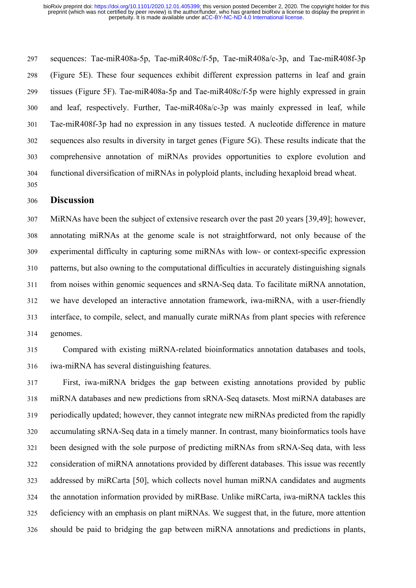297 sequences: Tae-miR408a-5p, Tae-miR408c/f-5p, Tae-miR408a/c-3p, and Tae-miR408f-3p 298 (Figure 5E). These four sequences exhibit different expression patterns in leaf and grain 299 tissues (Figure 5F). Tae-miR408a-5p and Tae-miR408c/f-5p were highly expressed in grain 300 and leaf, respectively. Further, Tae-miR408a/c-3p was mainly expressed in leaf, while 301 Tae-miR408f-3p had no expression in any tissues tested. A nucleotide difference in mature 302 sequences also results in diversity in target genes (Figure 5G). These results indicate that the 303 comprehensive annotation of miRNAs provides opportunities to explore evolution and 304 functional diversification of miRNAs in polyploid plants, including hexaploid bread wheat. 305

## 306 **Discussion**

307 MiRNAs have been the subject of extensive research over the past 20 years [39,49]; however, 308 annotating miRNAs at the genome scale is not straightforward, not only because of the 309 experimental difficulty in capturing some miRNAs with low- or context-specific expression 310 patterns, but also owning to the computational difficulties in accurately distinguishing signals 311 from noises within genomic sequences and sRNA-Seq data. To facilitate miRNA annotation, 312 we have developed an interactive annotation framework, iwa-miRNA, with a user-friendly 313 interface, to compile, select, and manually curate miRNAs from plant species with reference 314 genomes.

315 Compared with existing miRNA-related bioinformatics annotation databases and tools, 316 iwa-miRNA has several distinguishing features.

317 First, iwa-miRNA bridges the gap between existing annotations provided by public 318 miRNA databases and new predictions from sRNA-Seq datasets. Most miRNA databases are 319 periodically updated; however, they cannot integrate new miRNAs predicted from the rapidly 320 accumulating sRNA-Seq data in a timely manner. In contrast, many bioinformatics tools have 321 been designed with the sole purpose of predicting miRNAs from sRNA-Seq data, with less 322 consideration of miRNA annotations provided by different databases. This issue was recently 323 addressed by miRCarta [50], which collects novel human miRNA candidates and augments 324 the annotation information provided by miRBase. Unlike miRCarta, iwa-miRNA tackles this 325 deficiency with an emphasis on plant miRNAs. We suggest that, in the future, more attention 326 should be paid to bridging the gap between miRNA annotations and predictions in plants,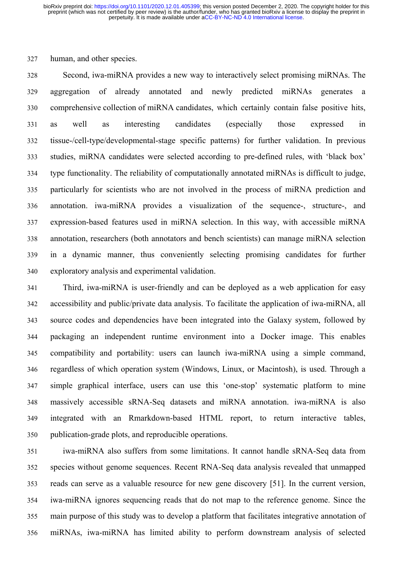327 human, and other species.

328 Second, iwa-miRNA provides a new way to interactively select promising miRNAs. The 329 aggregation of already annotated and newly predicted miRNAs generates a 330 comprehensive collection of miRNA candidates, which certainly contain false positive hits, 331 as well as interesting candidates (especially those expressed in 332 tissue-/cell-type/developmental-stage specific patterns) for further validation. In previous 333 studies, miRNA candidates were selected according to pre-defined rules, with 'black box' 334 type functionality. The reliability of computationally annotated miRNAs is difficult to judge, 335 particularly for scientists who are not involved in the process of miRNA prediction and 336 annotation. iwa-miRNA provides a visualization of the sequence-, structure-, and 337 expression-based features used in miRNA selection. In this way, with accessible miRNA 338 annotation, researchers (both annotators and bench scientists) can manage miRNA selection 339 in a dynamic manner, thus conveniently selecting promising candidates for further 340 exploratory analysis and experimental validation.

341 Third, iwa-miRNA is user-friendly and can be deployed as a web application for easy 342 accessibility and public/private data analysis. To facilitate the application of iwa-miRNA, all 343 source codes and dependencies have been integrated into the Galaxy system, followed by 344 packaging an independent runtime environment into a Docker image. This enables 345 compatibility and portability: users can launch iwa-miRNA using a simple command, 346 regardless of which operation system (Windows, Linux, or Macintosh), is used. Through a 347 simple graphical interface, users can use this 'one-stop' systematic platform to mine 348 massively accessible sRNA-Seq datasets and miRNA annotation. iwa-miRNA is also 349 integrated with an Rmarkdown-based HTML report, to return interactive tables, 350 publication-grade plots, and reproducible operations.

351 iwa-miRNA also suffers from some limitations. It cannot handle sRNA-Seq data from 352 species without genome sequences. Recent RNA-Seq data analysis revealed that unmapped 353 reads can serve as a valuable resource for new gene discovery [51]. In the current version, 354 iwa-miRNA ignores sequencing reads that do not map to the reference genome. Since the 355 main purpose of this study was to develop a platform that facilitates integrative annotation of 356 miRNAs, iwa-miRNA has limited ability to perform downstream analysis of selected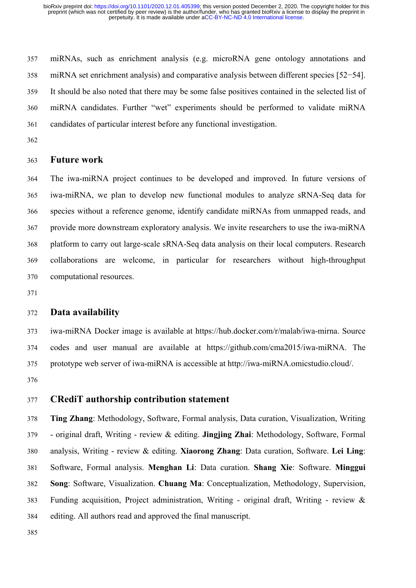357 miRNAs, such as enrichment analysis (e.g. microRNA gene ontology annotations and 358 miRNA set enrichment analysis) and comparative analysis between different species [52−54]. 359 It should be also noted that there may be some false positives contained in the selected list of 360 miRNA candidates. Further "wet" experiments should be performed to validate miRNA 361 candidates of particular interest before any functional investigation.

362

## 363 **Future work**

364 The iwa-miRNA project continues to be developed and improved. In future versions of 365 iwa-miRNA, we plan to develop new functional modules to analyze sRNA-Seq data for 366 species without a reference genome, identify candidate miRNAs from unmapped reads, and 367 provide more downstream exploratory analysis. We invite researchers to use the iwa-miRNA 368 platform to carry out large-scale sRNA-Seq data analysis on their local computers. Research 369 collaborations are welcome, in particular for researchers without high-throughput 370 computational resources.

371

## 372 **Data availability**

373 iwa-miRNA Docker image is available at https://hub.docker.com/r/malab/iwa-mirna. Source 374 codes and user manual are available at https://github.com/cma2015/iwa-miRNA. The 375 prototype web server of iwa-miRNA is accessible at http://iwa-miRNA.omicstudio.cloud/. 376

## 377 **CRediT authorship contribution statement**

378 **Ting Zhang**: Methodology, Software, Formal analysis, Data curation, Visualization, Writing 379 - original draft, Writing - review & editing. **Jingjing Zhai**: Methodology, Software, Formal 380 analysis, Writing - review & editing. **Xiaorong Zhang**: Data curation, Software. **Lei Ling**: 381 Software, Formal analysis. **Menghan Li**: Data curation. **Shang Xie**: Software. **Minggui**  382 **Song**: Software, Visualization. **Chuang Ma**: Conceptualization, Methodology, Supervision, 383 Funding acquisition, Project administration, Writing - original draft, Writing - review & 384 editing. All authors read and approved the final manuscript.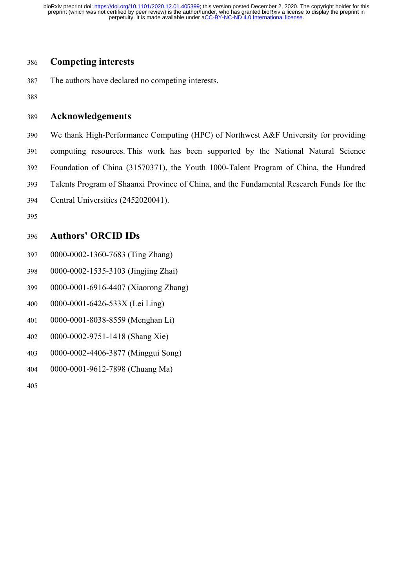## 386 **Competing interests**

387 The authors have declared no competing interests.

388

## 389 **Acknowledgements**

390 We thank High-Performance Computing (HPC) of Northwest A&F University for providing 391 computing resources. This work has been supported by the National Natural Science 392 Foundation of China (31570371), the Youth 1000-Talent Program of China, the Hundred 393 Talents Program of Shaanxi Province of China, and the Fundamental Research Funds for the 394 Central Universities (2452020041).

395

# 396 **Authors' ORCID IDs**

- 397 0000-0002-1360-7683 (Ting Zhang)
- 398 0000-0002-1535-3103 (Jingjing Zhai)
- 399 0000-0001-6916-4407 (Xiaorong Zhang)
- 400 0000-0001-6426-533X (Lei Ling)
- 401 0000-0001-8038-8559 (Menghan Li)
- 402 0000-0002-9751-1418 (Shang Xie)
- 403 0000-0002-4406-3877 (Minggui Song)
- 404 0000-0001-9612-7898 (Chuang Ma)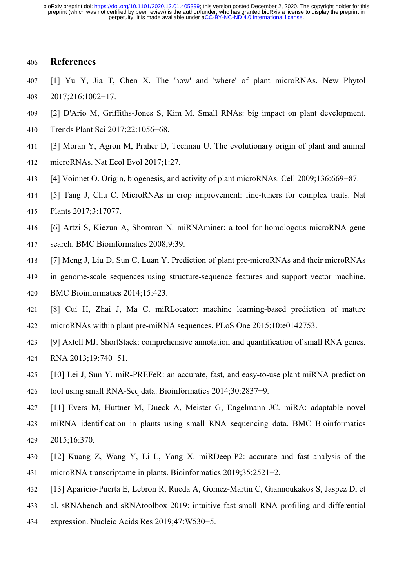## 406 **References**

- 407 [1] Yu Y, Jia T, Chen X. The 'how' and 'where' of plant microRNAs. New Phytol 408 2017;216:1002−17.
- 409 [2] D'Ario M, Griffiths-Jones S, Kim M. Small RNAs: big impact on plant development.
- 410 Trends Plant Sci 2017;22:1056−68.
- 411 [3] Moran Y, Agron M, Praher D, Technau U. The evolutionary origin of plant and animal
- 412 microRNAs. Nat Ecol Evol 2017;1:27.
- 413 [4] Voinnet O. Origin, biogenesis, and activity of plant microRNAs. Cell 2009;136:669−87.
- 414 [5] Tang J, Chu C. MicroRNAs in crop improvement: fine-tuners for complex traits. Nat
- 415 Plants 2017;3:17077.
- 416 [6] Artzi S, Kiezun A, Shomron N. miRNAminer: a tool for homologous microRNA gene
- 417 search. BMC Bioinformatics 2008;9:39.
- 418 [7] Meng J, Liu D, Sun C, Luan Y. Prediction of plant pre-microRNAs and their microRNAs
- 419 in genome-scale sequences using structure-sequence features and support vector machine.
- 420 BMC Bioinformatics 2014;15:423.
- 421 [8] Cui H, Zhai J, Ma C. miRLocator: machine learning-based prediction of mature 422 microRNAs within plant pre-miRNA sequences. PLoS One 2015;10:e0142753.
- 423 [9] Axtell MJ. ShortStack: comprehensive annotation and quantification of small RNA genes. 424 RNA 2013;19:740−51.
- 425 [10] Lei J, Sun Y. miR-PREFeR: an accurate, fast, and easy-to-use plant miRNA prediction 426 tool using small RNA-Seq data. Bioinformatics 2014;30:2837−9.
- 427 [11] Evers M, Huttner M, Dueck A, Meister G, Engelmann JC. miRA: adaptable novel 428 miRNA identification in plants using small RNA sequencing data. BMC Bioinformatics 429 2015;16:370.
- 430 [12] Kuang Z, Wang Y, Li L, Yang X. miRDeep-P2: accurate and fast analysis of the 431 microRNA transcriptome in plants. Bioinformatics 2019;35:2521−2.
- 432 [13] Aparicio-Puerta E, Lebron R, Rueda A, Gomez-Martin C, Giannoukakos S, Jaspez D, et
- 433 al. sRNAbench and sRNAtoolbox 2019: intuitive fast small RNA profiling and differential
- 434 expression. Nucleic Acids Res 2019;47:W530−5.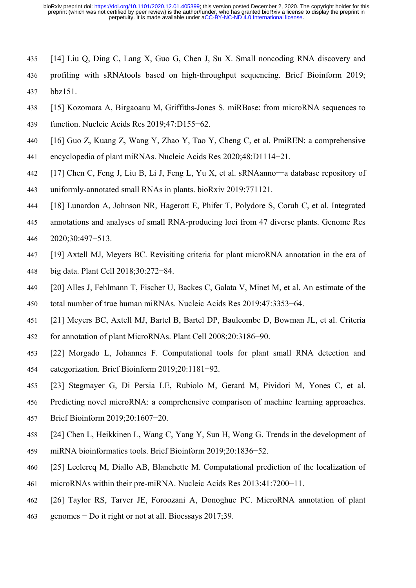- 435 [14] Liu Q, Ding C, Lang X, Guo G, Chen J, Su X. Small noncoding RNA discovery and
- 436 profiling with sRNAtools based on high-throughput sequencing. Brief Bioinform 2019; 437 bbz151.
- 438 [15] Kozomara A, Birgaoanu M, Griffiths-Jones S. miRBase: from microRNA sequences to
- 439 function. Nucleic Acids Res 2019;47:D155−62.
- 440 [16] Guo Z, Kuang Z, Wang Y, Zhao Y, Tao Y, Cheng C, et al. PmiREN: a comprehensive
- 441 encyclopedia of plant miRNAs. Nucleic Acids Res 2020;48:D1114−21.
- 442 [17] Chen C, Feng J, Liu B, Li J, Feng L, Yu X, et al. sRNAanno—a database repository of 443 uniformly-annotated small RNAs in plants. bioRxiv 2019:771121.
- 444 [18] Lunardon A, Johnson NR, Hagerott E, Phifer T, Polydore S, Coruh C, et al. Integrated
- 445 annotations and analyses of small RNA-producing loci from 47 diverse plants. Genome Res 446 2020;30:497−513.
- 447 [19] Axtell MJ, Meyers BC. Revisiting criteria for plant microRNA annotation in the era of
- 448 big data. Plant Cell 2018;30:272−84.
- 449 [20] Alles J, Fehlmann T, Fischer U, Backes C, Galata V, Minet M, et al. An estimate of the 450 total number of true human miRNAs. Nucleic Acids Res 2019;47:3353−64.
- 451 [21] Meyers BC, Axtell MJ, Bartel B, Bartel DP, Baulcombe D, Bowman JL, et al. Criteria
- 452 for annotation of plant MicroRNAs. Plant Cell 2008;20:3186−90.
- 453 [22] Morgado L, Johannes F. Computational tools for plant small RNA detection and 454 categorization. Brief Bioinform 2019;20:1181−92.
- 455 [23] Stegmayer G, Di Persia LE, Rubiolo M, Gerard M, Pividori M, Yones C, et al.
- 456 Predicting novel microRNA: a comprehensive comparison of machine learning approaches.
- 457 Brief Bioinform 2019;20:1607−20.
- 458 [24] Chen L, Heikkinen L, Wang C, Yang Y, Sun H, Wong G. Trends in the development of 459 miRNA bioinformatics tools. Brief Bioinform 2019;20:1836−52.
- 460 [25] Leclercq M, Diallo AB, Blanchette M. Computational prediction of the localization of
- 461 microRNAs within their pre-miRNA. Nucleic Acids Res 2013;41:7200−11.
- 462 [26] Taylor RS, Tarver JE, Foroozani A, Donoghue PC. MicroRNA annotation of plant
- 463 genomes − Do it right or not at all. Bioessays 2017;39.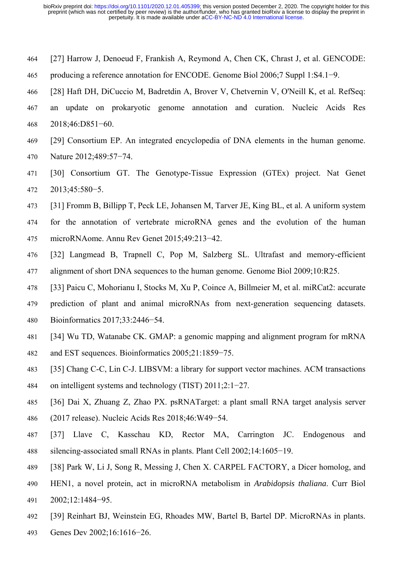- 464 [27] Harrow J, Denoeud F, Frankish A, Reymond A, Chen CK, Chrast J, et al. GENCODE:
- 465 producing a reference annotation for ENCODE. Genome Biol 2006;7 Suppl 1:S4.1−9.
- 466 [28] Haft DH, DiCuccio M, Badretdin A, Brover V, Chetvernin V, O'Neill K, et al. RefSeq:
- 467 an update on prokaryotic genome annotation and curation. Nucleic Acids Res 468 2018;46:D851−60.
- 469 [29] Consortium EP. An integrated encyclopedia of DNA elements in the human genome. 470 Nature 2012;489:57−74.
- 471 [30] Consortium GT. The Genotype-Tissue Expression (GTEx) project. Nat Genet 472 2013;45:580−5.
- 473 [31] Fromm B, Billipp T, Peck LE, Johansen M, Tarver JE, King BL, et al. A uniform system
- 474 for the annotation of vertebrate microRNA genes and the evolution of the human 475 microRNAome. Annu Rev Genet 2015;49:213−42.
- 476 [32] Langmead B, Trapnell C, Pop M, Salzberg SL. Ultrafast and memory-efficient 477 alignment of short DNA sequences to the human genome. Genome Biol 2009;10:R25.
- 478 [33] Paicu C, Mohorianu I, Stocks M, Xu P, Coince A, Billmeier M, et al. miRCat2: accurate
- 479 prediction of plant and animal microRNAs from next-generation sequencing datasets. 480 Bioinformatics 2017;33:2446−54.
- 481 [34] Wu TD, Watanabe CK. GMAP: a genomic mapping and alignment program for mRNA 482 and EST sequences. Bioinformatics 2005;21:1859−75.
- 483 [35] Chang C-C, Lin C-J. LIBSVM: a library for support vector machines. ACM transactions 484 on intelligent systems and technology (TIST) 2011;2:1−27.
- 485 [36] Dai X, Zhuang Z, Zhao PX. psRNATarget: a plant small RNA target analysis server
- 486 (2017 release). Nucleic Acids Res 2018;46:W49−54.
- 487 [37] Llave C, Kasschau KD, Rector MA, Carrington JC. Endogenous and 488 silencing-associated small RNAs in plants. Plant Cell 2002;14:1605−19.
- 489 [38] Park W, Li J, Song R, Messing J, Chen X. CARPEL FACTORY, a Dicer homolog, and
- 490 HEN1, a novel protein, act in microRNA metabolism in *Arabidopsis thaliana*. Curr Biol 491 2002;12:1484−95.
- 492 [39] Reinhart BJ, Weinstein EG, Rhoades MW, Bartel B, Bartel DP. MicroRNAs in plants.
- 493 Genes Dev 2002;16:1616−26.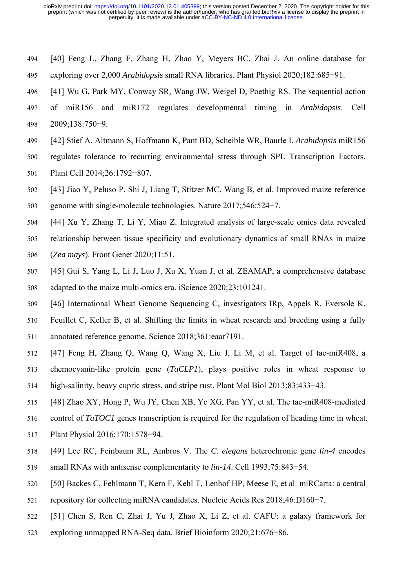- 494 [40] Feng L, Zhang F, Zhang H, Zhao Y, Meyers BC, Zhai J. An online database for
- 495 exploring over 2,000 *Arabidopsis* small RNA libraries. Plant Physiol 2020;182:685−91.
- 496 [41] Wu G, Park MY, Conway SR, Wang JW, Weigel D, Poethig RS. The sequential action
- 497 of miR156 and miR172 regulates developmental timing in *Arabidopsis*. Cell 498 2009;138:750−9.
- 499 [42] Stief A, Altmann S, Hoffmann K, Pant BD, Scheible WR, Baurle I. *Arabidopsis* miR156
- 500 regulates tolerance to recurring environmental stress through SPL Transcription Factors. 501 Plant Cell 2014;26:1792−807.
- 502 [43] Jiao Y, Peluso P, Shi J, Liang T, Stitzer MC, Wang B, et al. Improved maize reference 503 genome with single-molecule technologies. Nature 2017;546:524−7.
- 504 [44] Xu Y, Zhang T, Li Y, Miao Z. Integrated analysis of large-scale omics data revealed
- 505 relationship between tissue specificity and evolutionary dynamics of small RNAs in maize
- 506 (*Zea mays*). Front Genet 2020;11:51.
- 507 [45] Gui S, Yang L, Li J, Luo J, Xu X, Yuan J, et al. ZEAMAP, a comprehensive database 508 adapted to the maize multi-omics era. iScience 2020;23:101241.
- 509 [46] International Wheat Genome Sequencing C, investigators IRp, Appels R, Eversole K,
- 510 Feuillet C, Keller B, et al. Shifting the limits in wheat research and breeding using a fully 511 annotated reference genome. Science 2018;361:eaar7191.
- 512 [47] Feng H, Zhang Q, Wang Q, Wang X, Liu J, Li M, et al. Target of tae-miR408, a
- 513 chemocyanin-like protein gene (*TaCLP1*), plays positive roles in wheat response to 514 high-salinity, heavy cupric stress, and stripe rust. Plant Mol Biol 2013;83:433−43.
- 515 [48] Zhao XY, Hong P, Wu JY, Chen XB, Ye XG, Pan YY, et al. The tae-miR408-mediated
- 516 control of *TaTOC1* genes transcription is required for the regulation of heading time in wheat.
- 517 Plant Physiol 2016;170:1578−94.
- 518 [49] Lee RC, Feinbaum RL, Ambros V. The *C. elegans* heterochronic gene *lin-4* encodes
- 519 small RNAs with antisense complementarity to *lin-14*. Cell 1993;75:843−54.
- 520 [50] Backes C, Fehlmann T, Kern F, Kehl T, Lenhof HP, Meese E, et al. miRCarta: a central
- 521 repository for collecting miRNA candidates. Nucleic Acids Res 2018;46:D160−7.
- 522 [51] Chen S, Ren C, Zhai J, Yu J, Zhao X, Li Z, et al. CAFU: a galaxy framework for
- 523 exploring unmapped RNA-Seq data. Brief Bioinform 2020;21:676−86.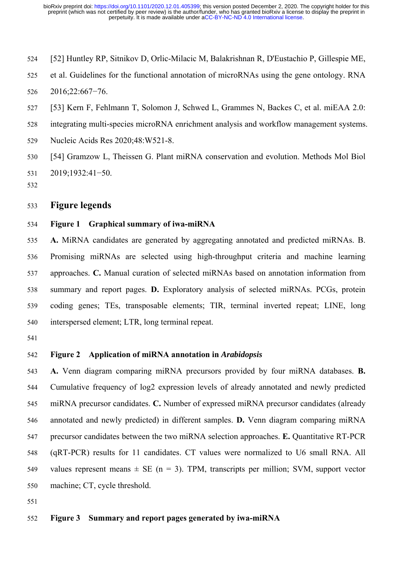- 524 [52] Huntley RP, Sitnikov D, Orlic-Milacic M, Balakrishnan R, D'Eustachio P, Gillespie ME,
- 525 et al. Guidelines for the functional annotation of microRNAs using the gene ontology. RNA 526 2016;22:667−76.
- 527 [53] Kern F, Fehlmann T, Solomon J, Schwed L, Grammes N, Backes C, et al. miEAA 2.0:
- 528 integrating multi-species microRNA enrichment analysis and workflow management systems.
- 529 Nucleic Acids Res 2020;48:W521-8.
- 530 [54] Gramzow L, Theissen G. Plant miRNA conservation and evolution. Methods Mol Biol 531 2019;1932:41−50.
- 532

## 533 **Figure legends**

#### 534 **Figure 1 Graphical summary of iwa-miRNA**

535 **A.** MiRNA candidates are generated by aggregating annotated and predicted miRNAs. B. 536 Promising miRNAs are selected using high-throughput criteria and machine learning 537 approaches. **C.** Manual curation of selected miRNAs based on annotation information from 538 summary and report pages. **D.** Exploratory analysis of selected miRNAs. PCGs, protein 539 coding genes; TEs, transposable elements; TIR, terminal inverted repeat; LINE, long 540 interspersed element; LTR, long terminal repeat.

541

## 542 **Figure 2 Application of miRNA annotation in** *Arabidopsis*

543 **A.** Venn diagram comparing miRNA precursors provided by four miRNA databases. **B.** 544 Cumulative frequency of log2 expression levels of already annotated and newly predicted 545 miRNA precursor candidates. **C.** Number of expressed miRNA precursor candidates (already 546 annotated and newly predicted) in different samples. **D.** Venn diagram comparing miRNA 547 precursor candidates between the two miRNA selection approaches. **E.** Quantitative RT-PCR 548 (qRT-PCR) results for 11 candidates. CT values were normalized to U6 small RNA. All 549 values represent means  $\pm$  SE (n = 3). TPM, transcripts per million; SVM, support vector 550 machine; CT, cycle threshold.

551

#### 552 **Figure 3 Summary and report pages generated by iwa-miRNA**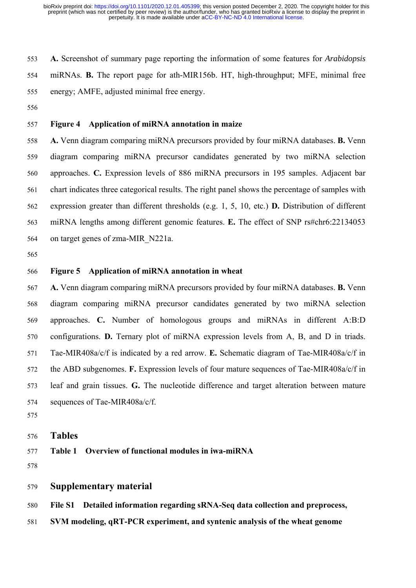553 **A.** Screenshot of summary page reporting the information of some features for *Arabidopsis* 554 miRNAs. **B.** The report page for ath-MIR156b. HT, high-throughput; MFE, minimal free 555 energy; AMFE, adjusted minimal free energy.

556

## 557 **Figure 4 Application of miRNA annotation in maize**

558 **A.** Venn diagram comparing miRNA precursors provided by four miRNA databases. **B.** Venn 559 diagram comparing miRNA precursor candidates generated by two miRNA selection 560 approaches. **C.** Expression levels of 886 miRNA precursors in 195 samples. Adjacent bar 561 chart indicates three categorical results. The right panel shows the percentage of samples with 562 expression greater than different thresholds (e.g. 1, 5, 10, etc.) **D.** Distribution of different 563 miRNA lengths among different genomic features. **E.** The effect of SNP rs#chr6:22134053 564 on target genes of zma-MIR\_N221a.

565

## 566 **Figure 5 Application of miRNA annotation in wheat**

567 **A.** Venn diagram comparing miRNA precursors provided by four miRNA databases. **B.** Venn 568 diagram comparing miRNA precursor candidates generated by two miRNA selection 569 approaches. **C.** Number of homologous groups and miRNAs in different A:B:D 570 configurations. **D.** Ternary plot of miRNA expression levels from A, B, and D in triads. 571 Tae-MIR408a/c/f is indicated by a red arrow. **E.** Schematic diagram of Tae-MIR408a/c/f in 572 the ABD subgenomes. **F.** Expression levels of four mature sequences of Tae-MIR408a/c/f in 573 leaf and grain tissues. **G.** The nucleotide difference and target alteration between mature 574 sequences of Tae-MIR408a/c/f.

575

576 **Tables** 

577 **Table 1 Overview of functional modules in iwa-miRNA** 

578

## 579 **Supplementary material**

580 **File S1 Detailed information regarding sRNA-Seq data collection and preprocess,** 

581 **SVM modeling, qRT-PCR experiment, and syntenic analysis of the wheat genome**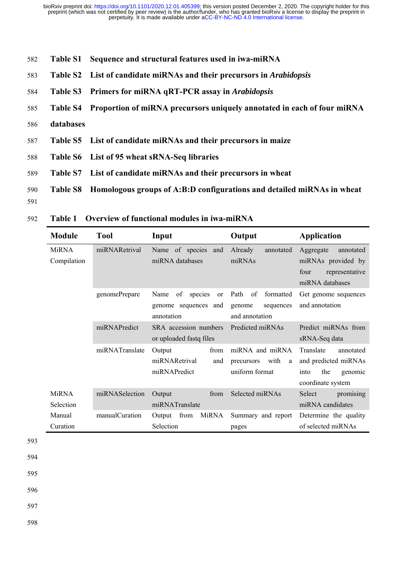- 582 **Table S1 Sequence and structural features used in iwa-miRNA**
- 583 **Table S2 List of candidate miRNAs and their precursors in** *Arabidopsis*
- 584 **Table S3 Primers for miRNA qRT-PCR assay in** *Arabidopsis*
- 585 **Table S4 Proportion of miRNA precursors uniquely annotated in each of four miRNA**
- 586 **databases**
- 587 **Table S5 List of candidate miRNAs and their precursors in maize**
- 588 **Table S6 List of 95 wheat sRNA-Seq libraries**
- 589 **Table S7 List of candidate miRNAs and their precursors in wheat**
- 590 **Table S8 Homologous groups of A:B:D configurations and detailed miRNAs in wheat**

## 592 **Table 1 Overview of functional modules in iwa-miRNA**

| <b>Module</b>               | <b>Tool</b>    | Input                                                                    | Output                                                           | <b>Application</b>                                                                            |
|-----------------------------|----------------|--------------------------------------------------------------------------|------------------------------------------------------------------|-----------------------------------------------------------------------------------------------|
| <b>MiRNA</b><br>Compilation | miRNARetrival  | Name of species and<br>miRNA databases                                   | Already<br>annotated<br>miRNAs                                   | Aggregate<br>annotated<br>miRNAs provided by<br>representative<br>four<br>miRNA databases     |
|                             | genomePrepare  | of<br>species<br>Name<br><b>or</b><br>genome sequences and<br>annotation | Path<br>of<br>formatted<br>genome<br>sequences<br>and annotation | Get genome sequences<br>and annotation                                                        |
|                             | miRNAPredict   | SRA accession numbers<br>or uploaded fastq files                         | Predicted miRNAs                                                 | Predict miRNAs from<br>sRNA-Seq data                                                          |
|                             | miRNATranslate | Output<br>from<br>miRNARetrival<br>and<br>miRNAPredict                   | miRNA and miRNA<br>with<br>precursors<br>a<br>uniform format     | Translate<br>annotated<br>and predicted miRNAs<br>the<br>into<br>genomic<br>coordinate system |
| <b>MiRNA</b><br>Selection   | miRNASelection | from<br>Output<br>miRNATranslate                                         | Selected miRNAs                                                  | promising<br>Select<br>miRNA candidates                                                       |
| Manual<br>Curation          | manualCuration | MiRNA<br>Output<br>from<br>Selection                                     | Summary and report<br>pages                                      | Determine the quality<br>of selected miRNAs                                                   |

593

594 595

596

597

<sup>591</sup>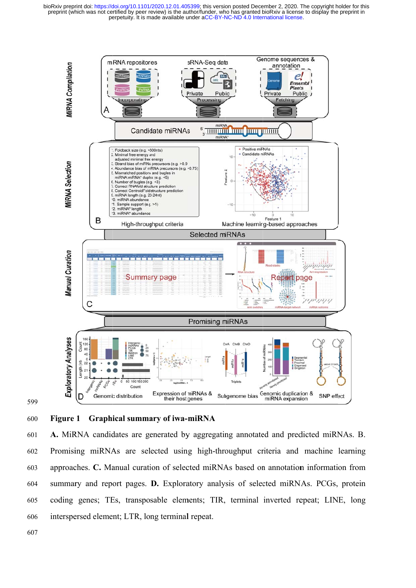

599

600 Figure 1 Graphical summary of iwa-miRNA

601 602 603 604 605 606 A. MiRNA candidates are generated by aggregating annotated and predicted miRNAs. B. Promising miRNAs are selected using high-throughput criteria and machine learning approaches. C. Manual curation of selected miRNAs based on annotation information from summary and report pages. D. Exploratory analysis of selected miRNAs. PCGs, protein coding genes; TEs, transposable elements; TIR, terminal inverted repeat; LINE, long interspersed element; LTR, long terminal repeat.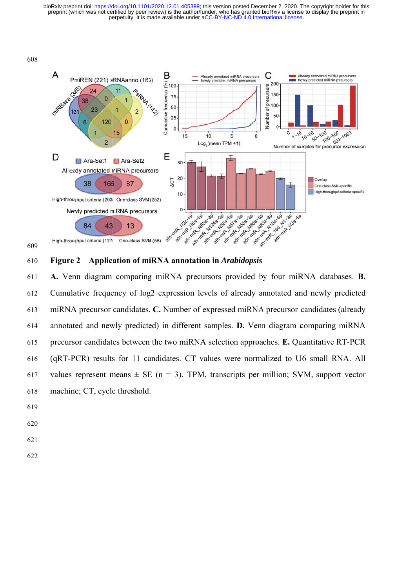

609

#### 610 **Figure**  2 Application of miRNA annotation in *Arabidopsis*

611 612 613 614 615 616 617 618 A. Venn diagram comparing miRNA precursors provided by four miRNA databases. B. Cumulative frequency of log2 expression levels of already annotated and newly predicted miRNA precursor candidates. C. Number of expressed miRNA precursor candidates (already annotated and newly predicted) in different samples. D. Venn diagram comparing miRNA precursor candidates between the two miRNA selection approaches. E. Quantitative RT-PCR (qRT-PCR) results for 11 candidates. CT values were normalized to U6 small RNA. All values represent means  $\pm$  SE (n = 3). TPM, transcripts per million; SVM, support vector machine; CT, cycle threshold.

- 619
- 620
- 621
- 622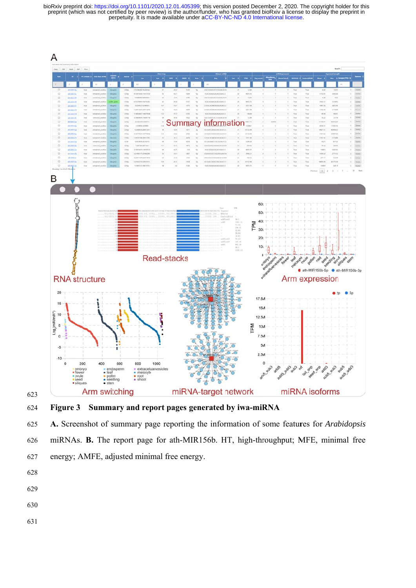



624 **Figure 3** Summary and report pages generated by iwa-miRNA

625 626 627 A. Screenshot of summary page reporting the information of some features for *Arabidopsis* miRNAs. **B.** The report page for ath-MIR156b. HT, high-throughput; MFE, minimal free energy; AMFE, adjusted minimal free energy.

- 628
- 629
- 630
- 631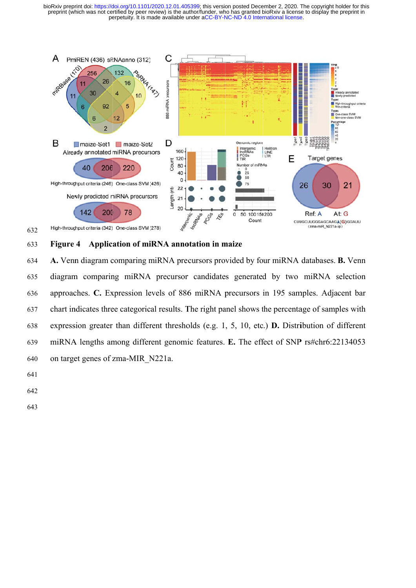

#### 633 Figure 4 Application of miRNA annotation in maize

634 635 636 637 638 639 640 A. Venn diagram comparing miRNA precursors provided by four miRNA databases. B. Venn diagram comparing miRNA precursor candidates generated by two miRNA selection approaches. C. Expression levels of 886 miRNA precursors in 195 samples. Adjacent bar chart indicates three categorical results. The right panel shows the percentage of samples with expression greater than different thresholds (e.g. 1, 5, 10, etc.) **D.** Distribution of different miRNA lengths among different genomic features. E. The effect of SNP rs#chr6:22134053 on target genes of zma-MIR\_N221a.

641

632

642